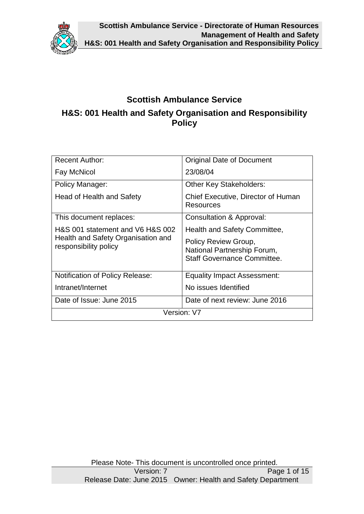

# **Scottish Ambulance Service H&S: 001 Health and Safety Organisation and Responsibility Policy**

| <b>Recent Author:</b>                                       | <b>Original Date of Document</b>                                                          |  |  |  |
|-------------------------------------------------------------|-------------------------------------------------------------------------------------------|--|--|--|
| Fay McNicol                                                 | 23/08/04                                                                                  |  |  |  |
| Policy Manager:                                             | <b>Other Key Stakeholders:</b>                                                            |  |  |  |
| Head of Health and Safety                                   | Chief Executive, Director of Human<br>Resources                                           |  |  |  |
| This document replaces:                                     | Consultation & Approval:                                                                  |  |  |  |
| H&S 001 statement and V6 H&S 002                            | Health and Safety Committee,                                                              |  |  |  |
| Health and Safety Organisation and<br>responsibility policy | Policy Review Group,<br>National Partnership Forum,<br><b>Staff Governance Committee.</b> |  |  |  |
| <b>Notification of Policy Release:</b>                      | <b>Equality Impact Assessment:</b>                                                        |  |  |  |
| Intranet/Internet                                           | No issues Identified                                                                      |  |  |  |
| Date of Issue: June 2015                                    | Date of next review: June 2016                                                            |  |  |  |
| Version: V7                                                 |                                                                                           |  |  |  |

Please Note- This document is uncontrolled once printed.<br>Version: 7 Page 1 of 15 Release Date: June 2015 Owner: Health and Safety Department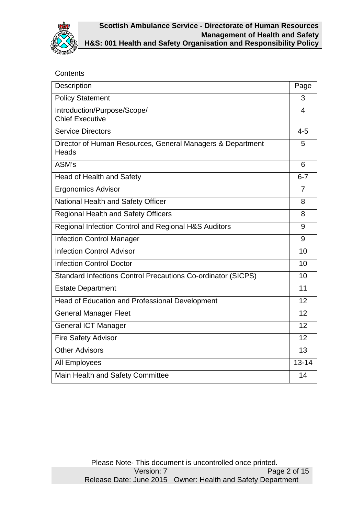

# **Contents**

| Description                                                         | Page           |
|---------------------------------------------------------------------|----------------|
| <b>Policy Statement</b>                                             | 3              |
| Introduction/Purpose/Scope/<br><b>Chief Executive</b>               | 4              |
| <b>Service Directors</b>                                            | $4 - 5$        |
| Director of Human Resources, General Managers & Department<br>Heads | 5              |
| ASM's                                                               | 6              |
| <b>Head of Health and Safety</b>                                    | $6 - 7$        |
| <b>Ergonomics Advisor</b>                                           | $\overline{7}$ |
| National Health and Safety Officer                                  | 8              |
| <b>Regional Health and Safety Officers</b>                          | 8              |
| Regional Infection Control and Regional H&S Auditors                | 9              |
| <b>Infection Control Manager</b>                                    | 9              |
| <b>Infection Control Advisor</b>                                    | 10             |
| <b>Infection Control Doctor</b>                                     | 10             |
| <b>Standard Infections Control Precautions Co-ordinator (SICPS)</b> | 10             |
| <b>Estate Department</b>                                            | 11             |
| Head of Education and Professional Development                      | 12             |
| <b>General Manager Fleet</b>                                        | 12             |
| <b>General ICT Manager</b>                                          | 12             |
| <b>Fire Safety Advisor</b>                                          | 12             |
| <b>Other Advisors</b>                                               | 13             |
| <b>All Employees</b>                                                | $13 - 14$      |
| Main Health and Safety Committee                                    | 14             |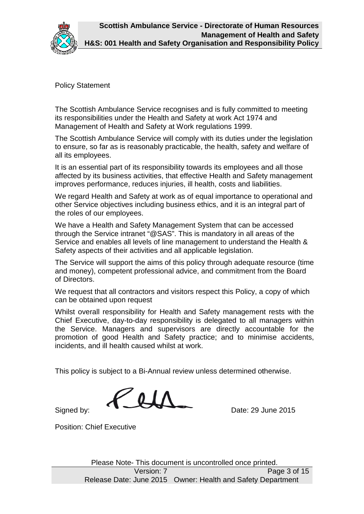

Policy Statement

The Scottish Ambulance Service recognises and is fully committed to meeting its responsibilities under the Health and Safety at work Act 1974 and Management of Health and Safety at Work regulations 1999.

The Scottish Ambulance Service will comply with its duties under the legislation to ensure, so far as is reasonably practicable, the health, safety and welfare of all its employees. h Ambulance Service recognises and is fully committed to meeting<br>bilities under the Health and Safety at work Act 1974 and<br>nt of Health and Safety at Work regulations 1999.<br>h Ambulance Service will comply with its duties u

It is an essential part of its responsibility towards its employees and all those affected by its business activities, that effective Health and Safety management improves performance, reduces injuries, ill health, costs and liabilities.

We regard Health and Safety at work as of equal importance to operational and other Service objectives including business ethics, and it is an integral the roles of our employees.

We have a Health and Safety Management System that can be accessed through the Service intranet "@SAS". This is mandatory in all areas of the Service and enables all levels of line management to understand the Health & Safety aspects of their activities and all applicable legislation. ther Service objectives including business ethics, and it is an integral part of<br>le roles of our employees.<br>Ve have a Health and Safety Management System that can be accessed<br>prough the Service intranet "@SAS". This is man

The Service will support the aims of this policy through adequate resource (time and money), competent professional advice, and commitment from the Board of Directors.

We request that all contractors and visitors respect this Policy, a copy of which can be obtained upon request

Whilst overall responsibility for Health and Safety management rests with the Chief Executive, day-to-day responsibility is delegated to all managers within the Service. Managers and supervisors are directly accountable for the the Service. Managers and supervisors are directly accountable for the<br>promotion of good Health and Safety practice; and to minimise accidents, incidents, and ill health caused whilst at work. afety Management System that can be accessed<br>net "@SAS". This is mandatory in all areas of the<br>evels of line management to understand the Health &<br>tivities and all applicable legislation.<br>the aims of this policy through ad

This policy is subject to a Bi Bi-Annual review unless determined otherwise.

 $\mathbf{0}$   $\mathbf{I}$ 

Signed by:

Date: 29 June 2015

Position: Chief Executive

Please Note-- This document is uncontrolled once printed. uncontrolled once Page 3 of 15 Release Date: June 2015 Owner: Health and Safety D Department Version: 7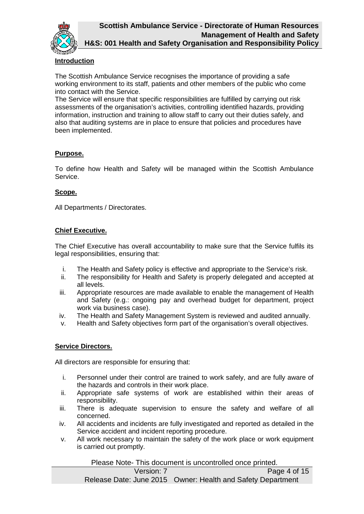

## **Introduction**

The Scottish Ambulance Service recognises the importance of providing a safe working environment to its staff, patients and other members of the public who come into contact with the Service.

The Service will ensure that specific responsibilities are fulfilled by carrying out risk assessments of the organisation's activities, controlling identified hazards, providing information, instruction and training to allow staff to carry out their duties safely, and also that auditing systems are in place to ensure that policies and procedures have been implemented.

#### **Purpose.**

To define how Health and Safety will be managed within the Scottish Ambulance Service.

## **Scope.**

All Departments / Directorates.

## **Chief Executive.**

The Chief Executive has overall accountability to make sure that the Service fulfils its legal responsibilities, ensuring that:

- i. The Health and Safety policy is effective and appropriate to the Service's risk.
- ii. The responsibility for Health and Safety is properly delegated and accepted at all levels.
- iii. Appropriate resources are made available to enable the management of Health and Safety (e.g.: ongoing pay and overhead budget for department, project work via business case).
- iv. The Health and Safety Management System is reviewed and audited annually.
- v. Health and Safety objectives form part of the organisation's overall objectives.

# **Service Directors.**

All directors are responsible for ensuring that:

- i. Personnel under their control are trained to work safely, and are fully aware of the hazards and controls in their work place.
- ii. Appropriate safe systems of work are established within their areas of responsibility.
- iii. There is adequate supervision to ensure the safety and welfare of all concerned.
- iv. All accidents and incidents are fully investigated and reported as detailed in the Service accident and incident reporting procedure.
- v. All work necessary to maintain the safety of the work place or work equipment is carried out promptly.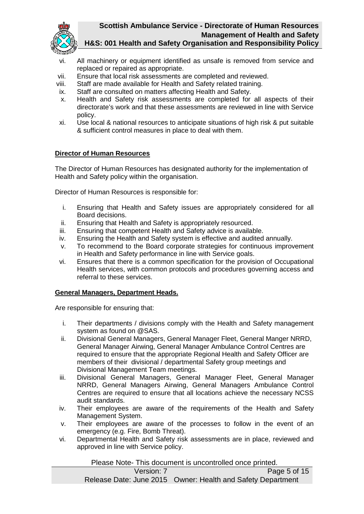

- vi. All machinery or equipment identified as unsafe is removed from service and replaced or repaired as appropriate.
- vii. Ensure that local risk assessments are completed and reviewed.
- viii. Staff are made available for Health and Safety related training.
- ix. Staff are consulted on matters affecting Health and Safety.
- x. Health and Safety risk assessments are completed for all aspects of their directorate's work and that these assessments are reviewed in line with Service policy.
- xi. Use local & national resources to anticipate situations of high risk & put suitable & sufficient control measures in place to deal with them.

## **Director of Human Resources**

The Director of Human Resources has designated authority for the implementation of Health and Safety policy within the organisation.

Director of Human Resources is responsible for:

- i. Ensuring that Health and Safety issues are appropriately considered for all Board decisions.
- ii. Ensuring that Health and Safety is appropriately resourced.
- iii. Ensuring that competent Health and Safety advice is available.
- iv. Ensuring the Health and Safety system is effective and audited annually.
- v. To recommend to the Board corporate strategies for continuous improvement in Health and Safety performance in line with Service goals.
- vi. Ensures that there is a common specification for the provision of Occupational Health services, with common protocols and procedures governing access and referral to these services.

#### **General Managers, Department Heads.**

Are responsible for ensuring that:

- i. Their departments / divisions comply with the Health and Safety management system as found on @SAS.
- ii. Divisional General Managers, General Manager Fleet, General Manger NRRD, General Manager Airwing, General Manager Ambulance Control Centres are required to ensure that the appropriate Regional Health and Safety Officer are members of their divisional / departmental Safety group meetings and Divisional Management Team meetings.
- iii. Divisional General Managers, General Manager Fleet, General Manager NRRD, General Managers Airwing, General Managers Ambulance Control Centres are required to ensure that all locations achieve the necessary NCSS audit standards.
- iv. Their employees are aware of the requirements of the Health and Safety Management System.
- v. Their employees are aware of the processes to follow in the event of an emergency (e.g. Fire, Bomb Threat).
- vi. Departmental Health and Safety risk assessments are in place, reviewed and approved in line with Service policy.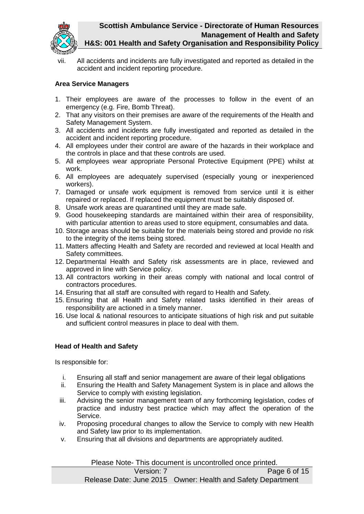

vii. All accidents and incidents are fully investigated and reported as detailed in the accident and incident reporting procedure.

# **Area Service Managers**

- 1. Their employees are aware of the processes to follow in the event of an emergency (e.g. Fire, Bomb Threat).
- 2. That any visitors on their premises are aware of the requirements of the Health and Safety Management System.
- 3. All accidents and incidents are fully investigated and reported as detailed in the accident and incident reporting procedure.
- 4. All employees under their control are aware of the hazards in their workplace and the controls in place and that these controls are used.
- 5. All employees wear appropriate Personal Protective Equipment (PPE) whilst at work.
- 6. All employees are adequately supervised (especially young or inexperienced workers).
- 7. Damaged or unsafe work equipment is removed from service until it is either repaired or replaced. If replaced the equipment must be suitably disposed of.
- 8. Unsafe work areas are quarantined until they are made safe.
- 9. Good housekeeping standards are maintained within their area of responsibility, with particular attention to areas used to store equipment, consumables and data.
- 10. Storage areas should be suitable for the materials being stored and provide no risk to the integrity of the items being stored.
- 11. Matters affecting Health and Safety are recorded and reviewed at local Health and Safety committees.
- 12. Departmental Health and Safety risk assessments are in place, reviewed and approved in line with Service policy.
- 13. All contractors working in their areas comply with national and local control of contractors procedures.
- 14. Ensuring that all staff are consulted with regard to Health and Safety.
- 15. Ensuring that all Health and Safety related tasks identified in their areas of responsibility are actioned in a timely manner.
- 16. Use local & national resources to anticipate situations of high risk and put suitable and sufficient control measures in place to deal with them.

#### **Head of Health and Safety**

Is responsible for:

- i. Ensuring all staff and senior management are aware of their legal obligations
- ii. Ensuring the Health and Safety Management System is in place and allows the Service to comply with existing legislation.
- iii. Advising the senior management team of any forthcoming legislation, codes of practice and industry best practice which may affect the operation of the Service.
- iv. Proposing procedural changes to allow the Service to comply with new Health and Safety law prior to its implementation.
- v. Ensuring that all divisions and departments are appropriately audited.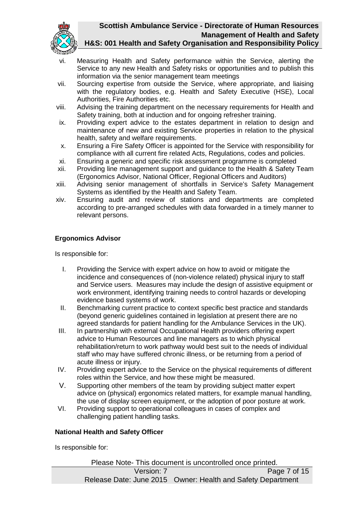

- vi. Measuring Health and Safety performance within the Service, alerting the Service to any new Health and Safety risks or opportunities and to publish this information via the senior management team meetings
- vii. Sourcing expertise from outside the Service, where appropriate, and liaising with the regulatory bodies, e.g. Health and Safety Executive (HSE), Local Authorities, Fire Authorities etc.
- viii. Advising the training department on the necessary requirements for Health and Safety training, both at induction and for ongoing refresher training.
- ix. Providing expert advice to the estates department in relation to design and maintenance of new and existing Service properties in relation to the physical health, safety and welfare requirements.
- x. Ensuring a Fire Safety Officer is appointed for the Service with responsibility for compliance with all current fire related Acts, Regulations, codes and policies.
- xi. Ensuring a generic and specific risk assessment programme is completed
- xii. Providing line management support and guidance to the Health & Safety Team (Ergonomics Advisor, National Officer, Regional Officers and Auditors)
- xiii. Advising senior management of shortfalls in Service's Safety Management Systems as identified by the Health and Safety Team.
- xiv. Ensuring audit and review of stations and departments are completed according to pre-arranged schedules with data forwarded in a timely manner to relevant persons.

# **Ergonomics Advisor**

Is responsible for:

- I. Providing the Service with expert advice on how to avoid or mitigate the incidence and consequences of (non-violence related) physical injury to staff and Service users. Measures may include the design of assistive equipment or work environment, identifying training needs to control hazards or developing evidence based systems of work.
- II. Benchmarking current practice to context specific best practice and standards (beyond generic guidelines contained in legislation at present there are no agreed standards for patient handling for the Ambulance Services in the UK).
- III. In partnership with external Occupational Health providers offering expert advice to Human Resources and line managers as to which physical rehabilitation/return to work pathway would best suit to the needs of individual staff who may have suffered chronic illness, or be returning from a period of acute illness or injury.
- IV. Providing expert advice to the Service on the physical requirements of different roles within the Service, and how these might be measured.
- V. Supporting other members of the team by providing subject matter expert advice on (physical) ergonomics related matters, for example manual handling, the use of display screen equipment, or the adoption of poor posture at work.
- VI. Providing support to operational colleagues in cases of complex and challenging patient handling tasks.

#### **National Health and Safety Officer**

Is responsible for:

Please Note- This document is uncontrolled once printed. Version: 7 Page 7 of 15 Release Date: June 2015 Owner: Health and Safety Department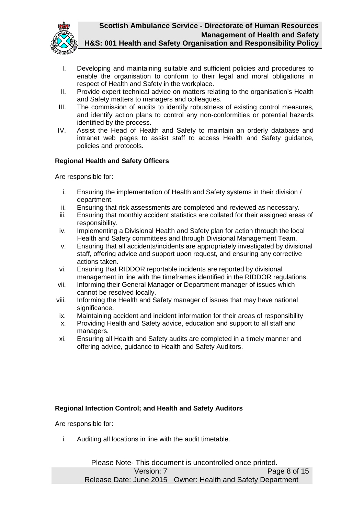

- I. Developing and maintaining suitable and sufficient policies and procedures to enable the organisation to conform to their legal and moral obligations in respect of Health and Safety in the workplace.
- II. Provide expert technical advice on matters relating to the organisation's Health and Safety matters to managers and colleagues.
- III. The commission of audits to identify robustness of existing control measures, and identify action plans to control any non-conformities or potential hazards identified by the process.
- IV. Assist the Head of Health and Safety to maintain an orderly database and intranet web pages to assist staff to access Health and Safety guidance, policies and protocols.

## **Regional Health and Safety Officers**

Are responsible for:

- i. Ensuring the implementation of Health and Safety systems in their division / department.
- ii. Ensuring that risk assessments are completed and reviewed as necessary.
- iii. Ensuring that monthly accident statistics are collated for their assigned areas of responsibility.
- iv. Implementing a Divisional Health and Safety plan for action through the local Health and Safety committees and through Divisional Management Team.
- v. Ensuring that all accidents/incidents are appropriately investigated by divisional staff, offering advice and support upon request, and ensuring any corrective actions taken.
- vi. Ensuring that RIDDOR reportable incidents are reported by divisional management in line with the timeframes identified in the RIDDOR regulations.
- vii. Informing their General Manager or Department manager of issues which cannot be resolved locally.
- viii. Informing the Health and Safety manager of issues that may have national significance.
- ix. Maintaining accident and incident information for their areas of responsibility
- x. Providing Health and Safety advice, education and support to all staff and managers.
- xi. Ensuring all Health and Safety audits are completed in a timely manner and offering advice, guidance to Health and Safety Auditors.

# **Regional Infection Control; and Health and Safety Auditors**

Are responsible for:

i. Auditing all locations in line with the audit timetable.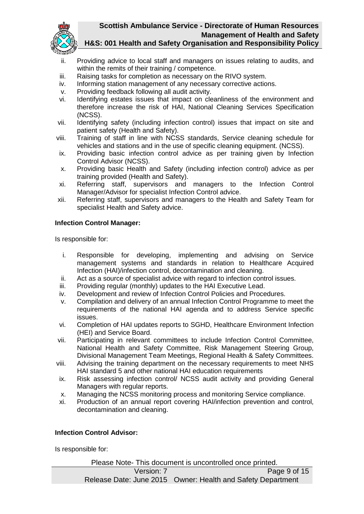

- ii. Providing advice to local staff and managers on issues relating to audits, and within the remits of their training / competence.
- iii. Raising tasks for completion as necessary on the RIVO system.
- iv. Informing station management of any necessary corrective actions.
- v. Providing feedback following all audit activity.
- vi. Identifying estates issues that impact on cleanliness of the environment and therefore increase the risk of HAI, National Cleaning Services Specification (NCSS).
- vii. Identifying safety (including infection control) issues that impact on site and patient safety (Health and Safety).
- viii. Training of staff in line with NCSS standards, Service cleaning schedule for vehicles and stations and in the use of specific cleaning equipment. (NCSS).
- ix. Providing basic infection control advice as per training given by Infection Control Advisor (NCSS).
- x. Providing basic Health and Safety (including infection control) advice as per training provided (Health and Safety).
- xi. Referring staff, supervisors and managers to the Infection Control Manager/Advisor for specialist Infection Control advice.
- xii. Referring staff, supervisors and managers to the Health and Safety Team for specialist Health and Safety advice.

#### **Infection Control Manager:**

Is responsible for:

- i. Responsible for developing, implementing and advising on Service management systems and standards in relation to Healthcare Acquired Infection (HAI)/infection control, decontamination and cleaning.
- ii. Act as a source of specialist advice with regard to infection control issues.
- iii. Providing regular (monthly) updates to the HAI Executive Lead.
- iv. Development and review of Infection Control Policies and Procedures.
- v. Compilation and delivery of an annual Infection Control Programme to meet the requirements of the national HAI agenda and to address Service specific issues.
- vi. Completion of HAI updates reports to SGHD, Healthcare Environment Infection (HEI) and Service Board.
- vii. Participating in relevant committees to include Infection Control Committee, National Health and Safety Committee, Risk Management Steering Group, Divisional Management Team Meetings, Regional Health & Safety Committees.
- viii. Advising the training department on the necessary requirements to meet NHS HAI standard 5 and other national HAI education requirements
- ix. Risk assessing infection control/ NCSS audit activity and providing General Managers with regular reports.
- x. Managing the NCSS monitoring process and monitoring Service compliance.
- xi. Production of an annual report covering HAI/infection prevention and control, decontamination and cleaning.

#### **Infection Control Advisor:**

Is responsible for: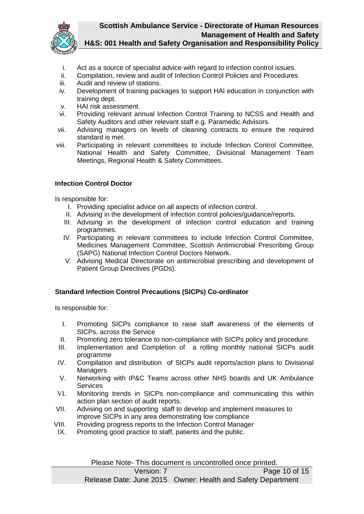

- i. Act as a source of specialist advice with regard to infection control issues.
- ii. Compilation, review and audit of Infection Control Policies and Procedures
- iii. Audit and review of stations.
- iv. Development of training packages to support HAI education in conjunction with training dept.
- v. HAI risk assessment.
- vi. Providing relevant annual Infection Control Training to NCSS and Health and Safety Auditors and other relevant staff e.g. Paramedic Advisors.
- vii. Advising managers on levels of cleaning contracts to ensure the required standard is met.
- viii. Participating in relevant committees to include Infection Control Committee, National Health and Safety Committee, Divisional Management Team Meetings, Regional Health & Safety Committees.

## **Infection Control Doctor**

Is responsible for:

- I. Providing specialist advice on all aspects of infection control.
- II. Advising in the development of infection control policies/guidance/reports.
- III. Advising in the development of infection control education and training programmes.
- IV. Participating in relevant committees to include Infection Control Committee, Medicines Management Committee, Scottish Antimicrobial Prescribing Group (SAPG) National Infection Control Doctors Network.
- V. Advising Medical Directorate on antimicrobial prescribing and development of Patient Group Directives (PGDs).

#### **Standard Infection Control Precautions (SICPs) Co-ordinator**

Is responsible for:

- I. Promoting SICPs compliance to raise staff awareness of the elements of SICPs, across the Service
- II. Promoting zero tolerance to non-compliance with SICPs policy and procedure.
- III. Implementation and Completion of a rolling monthly national SICPs audit programme
- IV. Compilation and distribution of SICPs audit reports/action plans to Divisional **Managers**
- V. Networking with IP&C Teams across other NHS boards and UK Ambulance **Services**
- VI. Monitoring trends in SICPs non-compliance and communicating this within action plan section of audit reports.
- VII. Advising on and supporting staff to develop and implement measures to improve SICPs in any area demonstrating low compliance
- VIII. Providing progress reports to the Infection Control Manager
- IX. Promoting good practice to staff, patients and the public.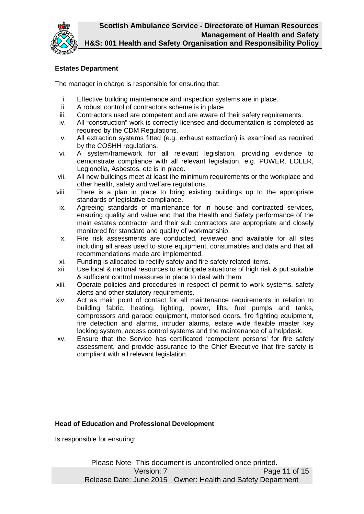

# **Estates Department**

The manager in charge is responsible for ensuring that:

- i. Effective building maintenance and inspection systems are in place.<br>ii. A robust control of contractors scheme is in place
- A robust control of contractors scheme is in place
- iii. Contractors used are competent and are aware of their safety requirements.
- iv. All "construction" work is correctly licensed and documentation is completed as required by the CDM Regulations.
- v. All extraction systems fitted (e.g. exhaust extraction) is examined as required by the COSHH regulations.
- vi. A system/framework for all relevant legislation, providing evidence to demonstrate compliance with all relevant legislation, e.g. PUWER, LOLER, Legionella, Asbestos, etc is in place.
- vii. All new buildings meet at least the minimum requirements or the workplace and other health, safety and welfare regulations.
- viii. There is a plan in place to bring existing buildings up to the appropriate standards of legislative compliance.
- ix. Agreeing standards of maintenance for in house and contracted services, ensuring quality and value and that the Health and Safety performance of the main estates contractor and their sub contractors are appropriate and closely monitored for standard and quality of workmanship.
- x. Fire risk assessments are conducted, reviewed and available for all sites including all areas used to store equipment, consumables and data and that all recommendations made are implemented.
- xi. Funding is allocated to rectify safety and fire safety related items.
- xii. Use local & national resources to anticipate situations of high risk & put suitable & sufficient control measures in place to deal with them.
- xiii. Operate policies and procedures in respect of permit to work systems, safety alerts and other statutory requirements.
- xiv. Act as main point of contact for all maintenance requirements in relation to building fabric, heating, lighting, power, lifts, fuel pumps and tanks, compressors and garage equipment, motorised doors, fire fighting equipment, fire detection and alarms, intruder alarms, estate wide flexible master key locking system, access control systems and the maintenance of a helpdesk.
- xv. Ensure that the Service has certificated 'competent persons' for fire safety assessment, and provide assurance to the Chief Executive that fire safety is compliant with all relevant legislation.

#### **Head of Education and Professional Development**

Is responsible for ensuring: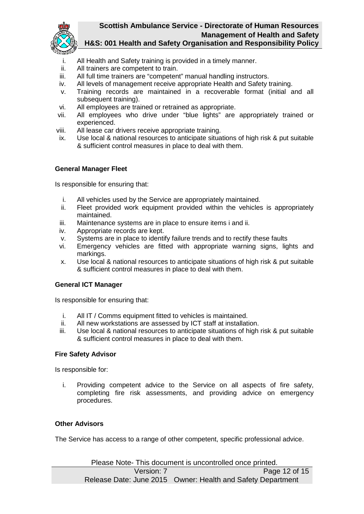

- i. All Health and Safety training is provided in a timely manner.
- ii. All trainers are competent to train.
- iii. All full time trainers are "competent" manual handling instructors.
- iv. All levels of management receive appropriate Health and Safety training.
- v. Training records are maintained in a recoverable format (initial and all subsequent training).
- vi. All employees are trained or retrained as appropriate.
- vii. All employees who drive under "blue lights" are appropriately trained or experienced.
- viii. All lease car drivers receive appropriate training.
- ix. Use local & national resources to anticipate situations of high risk & put suitable & sufficient control measures in place to deal with them.

#### **General Manager Fleet**

Is responsible for ensuring that:

- i. All vehicles used by the Service are appropriately maintained.
- ii. Fleet provided work equipment provided within the vehicles is appropriately maintained.
- iii. Maintenance systems are in place to ensure items i and ii.
- iv. Appropriate records are kept.
- v. Systems are in place to identify failure trends and to rectify these faults
- vi. Emergency vehicles are fitted with appropriate warning signs, lights and markings.
- x. Use local & national resources to anticipate situations of high risk & put suitable & sufficient control measures in place to deal with them.

#### **General ICT Manager**

Is responsible for ensuring that:

- i. All IT / Comms equipment fitted to vehicles is maintained.
- ii. All new workstations are assessed by ICT staff at installation.
- iii. Use local & national resources to anticipate situations of high risk & put suitable & sufficient control measures in place to deal with them.

#### **Fire Safety Advisor**

Is responsible for:

i. Providing competent advice to the Service on all aspects of fire safety, completing fire risk assessments, and providing advice on emergency procedures.

## **Other Advisors**

The Service has access to a range of other competent, specific professional advice.

Please Note- This document is uncontrolled once printed. Version: 7 Page 12 of 15 Release Date: June 2015 Owner: Health and Safety Department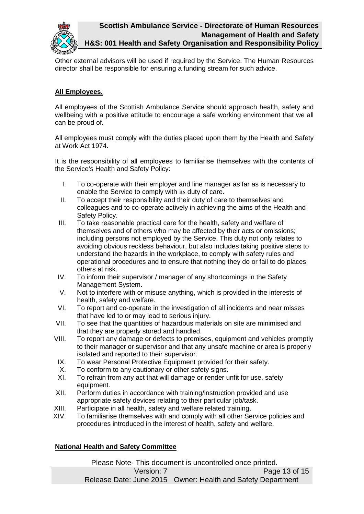

Other external advisors will be used if required by the Service. The Human Resources director shall be responsible for ensuring a funding stream for such advice.

# **All Employees.**

All employees of the Scottish Ambulance Service should approach health, safety and wellbeing with a positive attitude to encourage a safe working environment that we all can be proud of.

All employees must comply with the duties placed upon them by the Health and Safety at Work Act 1974.

It is the responsibility of all employees to familiarise themselves with the contents of the Service's Health and Safety Policy:

- I. To co-operate with their employer and line manager as far as is necessary to enable the Service to comply with its duty of care.
- II. To accept their responsibility and their duty of care to themselves and colleagues and to co-operate actively in achieving the aims of the Health and Safety Policy.
- III. To take reasonable practical care for the health, safety and welfare of themselves and of others who may be affected by their acts or omissions; including persons not employed by the Service. This duty not only relates to avoiding obvious reckless behaviour, but also includes taking positive steps to understand the hazards in the workplace, to comply with safety rules and operational procedures and to ensure that nothing they do or fail to do places others at risk.
- IV. To inform their supervisor / manager of any shortcomings in the Safety Management System.
- V. Not to interfere with or misuse anything, which is provided in the interests of health, safety and welfare.
- VI. To report and co-operate in the investigation of all incidents and near misses that have led to or may lead to serious injury.
- VII. To see that the quantities of hazardous materials on site are minimised and that they are properly stored and handled.
- VIII. To report any damage or defects to premises, equipment and vehicles promptly to their manager or supervisor and that any unsafe machine or area is properly isolated and reported to their supervisor.
	- IX. To wear Personal Protective Equipment provided for their safety.
	- X. To conform to any cautionary or other safety signs.
- XI. To refrain from any act that will damage or render unfit for use, safety equipment.
- XII. Perform duties in accordance with training/instruction provided and use appropriate safety devices relating to their particular job/task.
- XIII. Participate in all health, safety and welfare related training.
- XIV. To familiarise themselves with and comply with all other Service policies and procedures introduced in the interest of health, safety and welfare.

# **National Health and Safety Committee**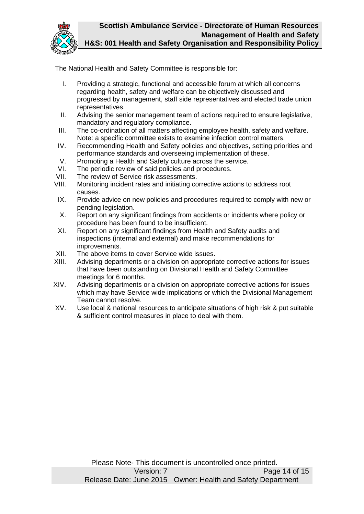

The National Health and Safety Committee is responsible for:

- I. Providing a strategic, functional and accessible forum at which all concerns regarding health, safety and welfare can be objectively discussed and progressed by management, staff side representatives and elected trade union representatives.
- II. Advising the senior management team of actions required to ensure legislative, mandatory and regulatory compliance.
- III. The co-ordination of all matters affecting employee health, safety and welfare. Note: a specific committee exists to examine infection control matters.
- IV. Recommending Health and Safety policies and objectives, setting priorities and performance standards and overseeing implementation of these.
- V. Promoting a Health and Safety culture across the service.
- VI. The periodic review of said policies and procedures.
- VII. The review of Service risk assessments.
- VIII. Monitoring incident rates and initiating corrective actions to address root causes.
- IX. Provide advice on new policies and procedures required to comply with new or pending legislation.
- X. Report on any significant findings from accidents or incidents where policy or procedure has been found to be insufficient.
- XI. Report on any significant findings from Health and Safety audits and inspections (internal and external) and make recommendations for improvements.
- XII. The above items to cover Service wide issues.
- XIII. Advising departments or a division on appropriate corrective actions for issues that have been outstanding on Divisional Health and Safety Committee meetings for 6 months.
- XIV. Advising departments or a division on appropriate corrective actions for issues which may have Service wide implications or which the Divisional Management Team cannot resolve.
- XV. Use local & national resources to anticipate situations of high risk & put suitable & sufficient control measures in place to deal with them.